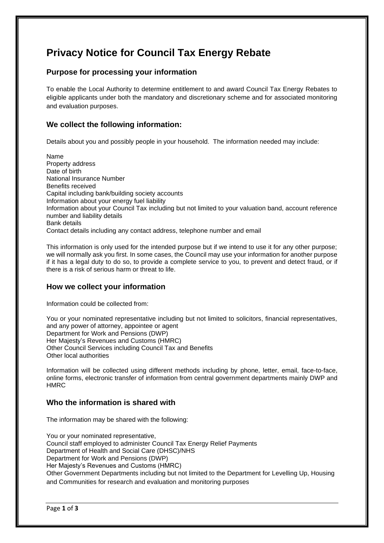# **Privacy Notice for Council Tax Energy Rebate**

# **Purpose for processing your information**

To enable the Local Authority to determine entitlement to and award Council Tax Energy Rebates to eligible applicants under both the mandatory and discretionary scheme and for associated monitoring and evaluation purposes.

# **We collect the following information:**

Details about you and possibly people in your household. The information needed may include:

Name Property address Date of birth National Insurance Number Benefits received Capital including bank/building society accounts Information about your energy fuel liability Information about your Council Tax including but not limited to your valuation band, account reference number and liability details Bank details Contact details including any contact address, telephone number and email

This information is only used for the intended purpose but if we intend to use it for any other purpose; we will normally ask you first. In some cases, the Council may use your information for another purpose if it has a legal duty to do so, to provide a complete service to you, to prevent and detect fraud, or if there is a risk of serious harm or threat to life.

# **How we collect your information**

Information could be collected from:

You or your nominated representative including but not limited to solicitors, financial representatives, and any power of attorney, appointee or agent Department for Work and Pensions (DWP) Her Majesty's Revenues and Customs (HMRC) Other Council Services including Council Tax and Benefits Other local authorities

Information will be collected using different methods including by phone, letter, email, face-to-face, online forms, electronic transfer of information from central government departments mainly DWP and HMRC

# **Who the information is shared with**

The information may be shared with the following:

You or your nominated representative, Council staff employed to administer Council Tax Energy Relief Payments Department of Health and Social Care (DHSC)/NHS Department for Work and Pensions (DWP) Her Majesty's Revenues and Customs (HMRC) Other Government Departments including but not limited to the Department for Levelling Up, Housing and Communities for research and evaluation and monitoring purposes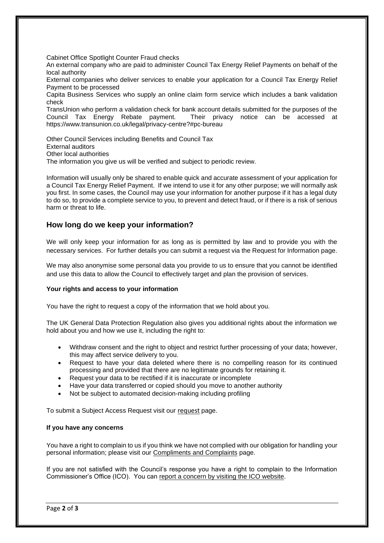Cabinet Office Spotlight Counter Fraud checks

An external company who are paid to administer Council Tax Energy Relief Payments on behalf of the local authority

External companies who deliver services to enable your application for a Council Tax Energy Relief Payment to be processed

Capita Business Services who supply an online claim form service which includes a bank validation check

TransUnion who perform a validation check for bank account details submitted for the purposes of the Council Tax Energy Rebate payment. Their privacy notice can be accessed at https://www.transunion.co.uk/legal/privacy-centre?#pc-bureau

Other Council Services including Benefits and Council Tax External auditors Other local authorities The information you give us will be verified and subject to periodic review.

Information will usually only be shared to enable quick and accurate assessment of your application for a Council Tax Energy Relief Payment. If we intend to use it for any other purpose; we will normally ask you first. In some cases, the Council may use your information for another purpose if it has a legal duty to do so, to provide a complete service to you, to prevent and detect fraud, or if there is a risk of serious harm or threat to life.

## **How long do we keep your information?**

We will only keep your information for as long as is permitted by law and to provide you with the necessary services. For further details you can submit a request via the Request for Information page.

We may also anonymise some personal data you provide to us to ensure that you cannot be identified and use this data to allow the Council to effectively target and plan the provision of services.

## **Your rights and access to your information**

You have the right to request a copy of the information that we hold about you.

The UK General Data Protection Regulation also gives you additional rights about the information we hold about you and how we use it, including the right to:

- Withdraw consent and the right to object and restrict further processing of your data; however, this may affect service delivery to you.
- Request to have your data deleted where there is no compelling reason for its continued processing and provided that there are no legitimate grounds for retaining it.
- Request your data to be rectified if it is inaccurate or incomplete
- Have your data transferred or copied should you move to another authority
- Not be subject to automated decision-making including profiling

To submit a Subject Access Request visit our [request](https://www.harrow.gov.uk/council/freedom-information/8) page.

#### **If you have any concerns**

You have a right to complain to us if you think we have not complied with our obligation for handling your personal information; please visit our [Compliments and Complaints](http://www.harrow.gov.uk/info/100004/council_and_democracy/85/compliments_and_complaints) page.

If you are not satisfied with the Council's response you have a right to complain to the Information Commissioner's Office (ICO). You can [report a concern by visiting the ICO website.](https://ico.org.uk/concerns/handling/)